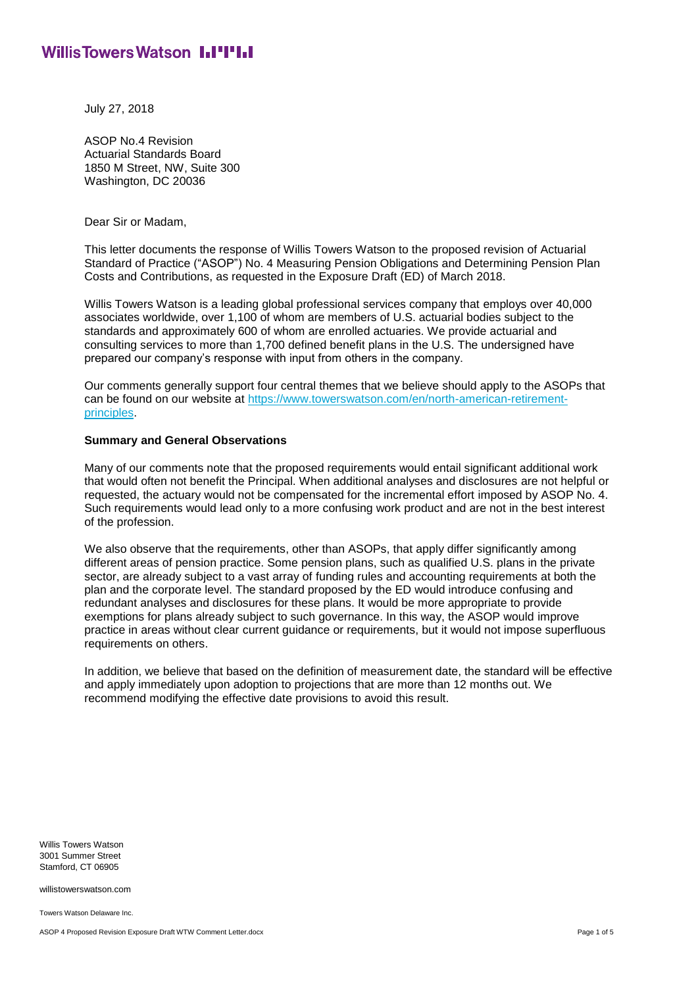July 27, 2018

ASOP No.4 Revision Actuarial Standards Board 1850 M Street, NW, Suite 300 Washington, DC 20036

Dear Sir or Madam,

This letter documents the response of Willis Towers Watson to the proposed revision of Actuarial Standard of Practice ("ASOP") No. 4 Measuring Pension Obligations and Determining Pension Plan Costs and Contributions, as requested in the Exposure Draft (ED) of March 2018.

Willis Towers Watson is a leading global professional services company that employs over 40,000 associates worldwide, over 1,100 of whom are members of U.S. actuarial bodies subject to the standards and approximately 600 of whom are enrolled actuaries. We provide actuarial and consulting services to more than 1,700 defined benefit plans in the U.S. The undersigned have prepared our company's response with input from others in the company.

Our comments generally support four central themes that we believe should apply to the ASOPs that can be found on our website at [https://www.towerswatson.com/en/north-american-retirement](https://www.towerswatson.com/en/north-american-retirement-principles)[principles.](https://www.towerswatson.com/en/north-american-retirement-principles)

#### **Summary and General Observations**

Many of our comments note that the proposed requirements would entail significant additional work that would often not benefit the Principal. When additional analyses and disclosures are not helpful or requested, the actuary would not be compensated for the incremental effort imposed by ASOP No. 4. Such requirements would lead only to a more confusing work product and are not in the best interest of the profession.

We also observe that the requirements, other than ASOPs, that apply differ significantly among different areas of pension practice. Some pension plans, such as qualified U.S. plans in the private sector, are already subject to a vast array of funding rules and accounting requirements at both the plan and the corporate level. The standard proposed by the ED would introduce confusing and redundant analyses and disclosures for these plans. It would be more appropriate to provide exemptions for plans already subject to such governance. In this way, the ASOP would improve practice in areas without clear current guidance or requirements, but it would not impose superfluous requirements on others.

In addition, we believe that based on the definition of measurement date, the standard will be effective and apply immediately upon adoption to projections that are more than 12 months out. We recommend modifying the effective date provisions to avoid this result.

Willis Towers Watson 3001 Summer Street Stamford, CT 06905

willistowerswatson.com

Towers Watson Delaware Inc.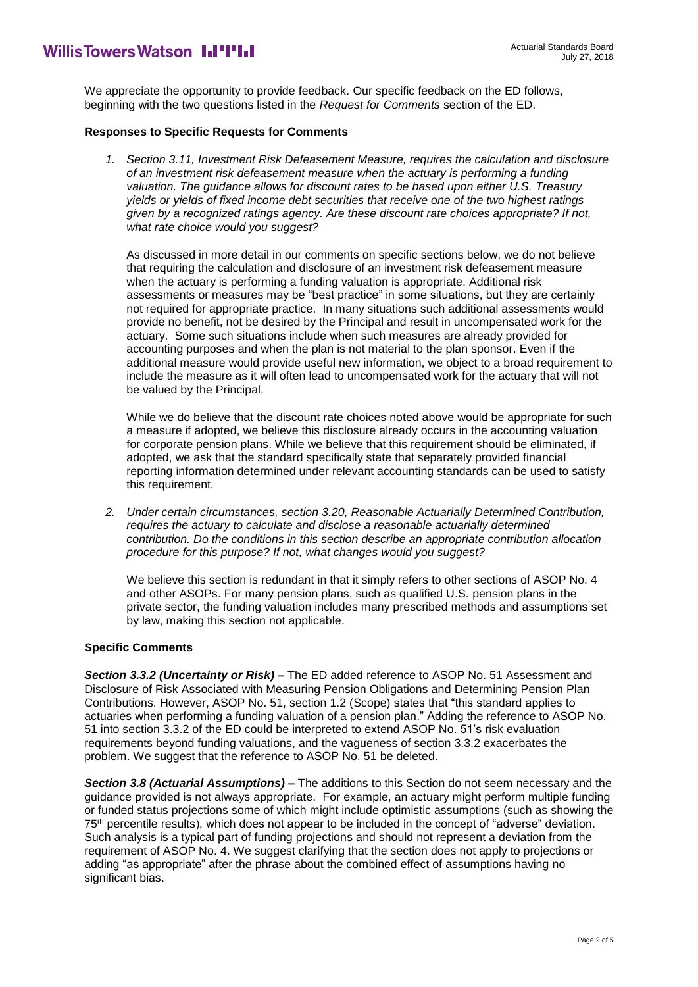# **WillisTowersWatson I.I'I'I.I**

We appreciate the opportunity to provide feedback. Our specific feedback on the ED follows, beginning with the two questions listed in the *Request for Comments* section of the ED.

### **Responses to Specific Requests for Comments**

*1. Section 3.11, Investment Risk Defeasement Measure, requires the calculation and disclosure of an investment risk defeasement measure when the actuary is performing a funding valuation. The guidance allows for discount rates to be based upon either U.S. Treasury yields or yields of fixed income debt securities that receive one of the two highest ratings given by a recognized ratings agency. Are these discount rate choices appropriate? If not, what rate choice would you suggest?*

As discussed in more detail in our comments on specific sections below, we do not believe that requiring the calculation and disclosure of an investment risk defeasement measure when the actuary is performing a funding valuation is appropriate. Additional risk assessments or measures may be "best practice" in some situations, but they are certainly not required for appropriate practice. In many situations such additional assessments would provide no benefit, not be desired by the Principal and result in uncompensated work for the actuary. Some such situations include when such measures are already provided for accounting purposes and when the plan is not material to the plan sponsor. Even if the additional measure would provide useful new information, we object to a broad requirement to include the measure as it will often lead to uncompensated work for the actuary that will not be valued by the Principal.

While we do believe that the discount rate choices noted above would be appropriate for such a measure if adopted, we believe this disclosure already occurs in the accounting valuation for corporate pension plans. While we believe that this requirement should be eliminated, if adopted, we ask that the standard specifically state that separately provided financial reporting information determined under relevant accounting standards can be used to satisfy this requirement.

*2. Under certain circumstances, section 3.20, Reasonable Actuarially Determined Contribution, requires the actuary to calculate and disclose a reasonable actuarially determined contribution. Do the conditions in this section describe an appropriate contribution allocation procedure for this purpose? If not, what changes would you suggest?*

We believe this section is redundant in that it simply refers to other sections of ASOP No. 4 and other ASOPs. For many pension plans, such as qualified U.S. pension plans in the private sector, the funding valuation includes many prescribed methods and assumptions set by law, making this section not applicable.

#### **Specific Comments**

*Section 3.3.2 (Uncertainty or Risk) –* The ED added reference to ASOP No. 51 Assessment and Disclosure of Risk Associated with Measuring Pension Obligations and Determining Pension Plan Contributions. However, ASOP No. 51, section 1.2 (Scope) states that "this standard applies to actuaries when performing a funding valuation of a pension plan." Adding the reference to ASOP No. 51 into section 3.3.2 of the ED could be interpreted to extend ASOP No. 51's risk evaluation requirements beyond funding valuations, and the vagueness of section 3.3.2 exacerbates the problem. We suggest that the reference to ASOP No. 51 be deleted.

*Section 3.8 (Actuarial Assumptions) –* The additions to this Section do not seem necessary and the guidance provided is not always appropriate. For example, an actuary might perform multiple funding or funded status projections some of which might include optimistic assumptions (such as showing the 75th percentile results), which does not appear to be included in the concept of "adverse" deviation. Such analysis is a typical part of funding projections and should not represent a deviation from the requirement of ASOP No. 4. We suggest clarifying that the section does not apply to projections or adding "as appropriate" after the phrase about the combined effect of assumptions having no significant bias.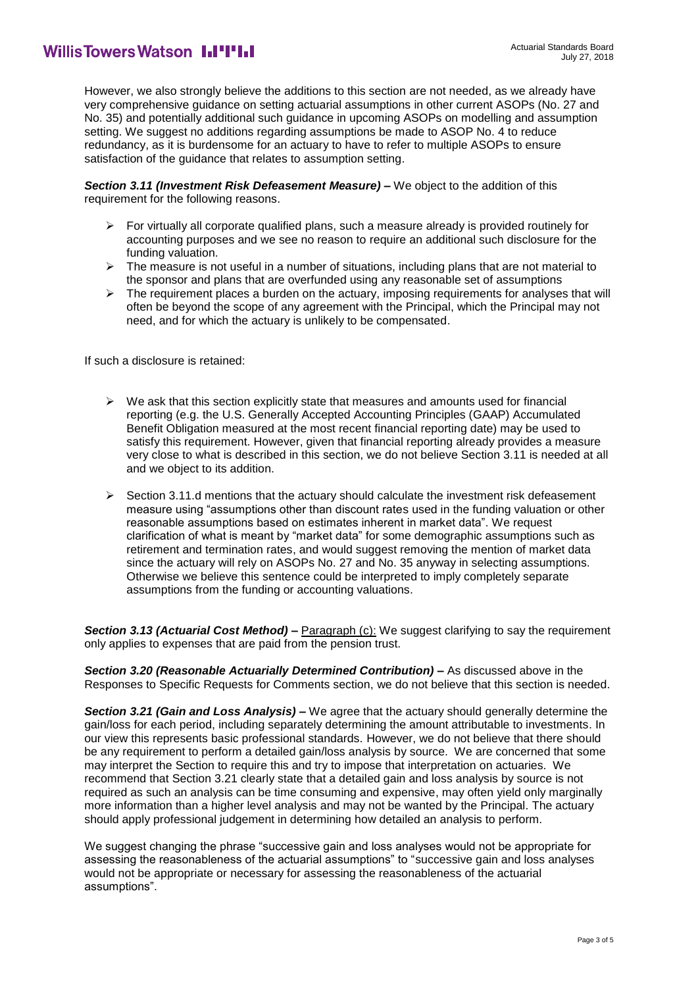## **WillisTowersWatson I.I'I'I.I**

However, we also strongly believe the additions to this section are not needed, as we already have very comprehensive guidance on setting actuarial assumptions in other current ASOPs (No. 27 and No. 35) and potentially additional such guidance in upcoming ASOPs on modelling and assumption setting. We suggest no additions regarding assumptions be made to ASOP No. 4 to reduce redundancy, as it is burdensome for an actuary to have to refer to multiple ASOPs to ensure satisfaction of the guidance that relates to assumption setting.

*Section 3.11 (Investment Risk Defeasement Measure) –* We object to the addition of this requirement for the following reasons.

- $\triangleright$  For virtually all corporate qualified plans, such a measure already is provided routinely for accounting purposes and we see no reason to require an additional such disclosure for the funding valuation.
- $\triangleright$  The measure is not useful in a number of situations, including plans that are not material to the sponsor and plans that are overfunded using any reasonable set of assumptions
- $\triangleright$  The requirement places a burden on the actuary, imposing requirements for analyses that will often be beyond the scope of any agreement with the Principal, which the Principal may not need, and for which the actuary is unlikely to be compensated.

If such a disclosure is retained:

- $\triangleright$  We ask that this section explicitly state that measures and amounts used for financial reporting (e.g. the U.S. Generally Accepted Accounting Principles (GAAP) Accumulated Benefit Obligation measured at the most recent financial reporting date) may be used to satisfy this requirement. However, given that financial reporting already provides a measure very close to what is described in this section, we do not believe Section 3.11 is needed at all and we object to its addition.
- $\triangleright$  Section 3.11.d mentions that the actuary should calculate the investment risk defeasement measure using "assumptions other than discount rates used in the funding valuation or other reasonable assumptions based on estimates inherent in market data". We request clarification of what is meant by "market data" for some demographic assumptions such as retirement and termination rates, and would suggest removing the mention of market data since the actuary will rely on ASOPs No. 27 and No. 35 anyway in selecting assumptions. Otherwise we believe this sentence could be interpreted to imply completely separate assumptions from the funding or accounting valuations.

*Section 3.13 (Actuarial Cost Method) –* Paragraph (c): We suggest clarifying to say the requirement only applies to expenses that are paid from the pension trust.

*Section 3.20 (Reasonable Actuarially Determined Contribution) –* As discussed above in the Responses to Specific Requests for Comments section, we do not believe that this section is needed.

*Section 3.21 (Gain and Loss Analysis) –* We agree that the actuary should generally determine the gain/loss for each period, including separately determining the amount attributable to investments. In our view this represents basic professional standards. However, we do not believe that there should be any requirement to perform a detailed gain/loss analysis by source. We are concerned that some may interpret the Section to require this and try to impose that interpretation on actuaries. We recommend that Section 3.21 clearly state that a detailed gain and loss analysis by source is not required as such an analysis can be time consuming and expensive, may often yield only marginally more information than a higher level analysis and may not be wanted by the Principal. The actuary should apply professional judgement in determining how detailed an analysis to perform.

We suggest changing the phrase "successive gain and loss analyses would not be appropriate for assessing the reasonableness of the actuarial assumptions" to "successive gain and loss analyses would not be appropriate or necessary for assessing the reasonableness of the actuarial assumptions".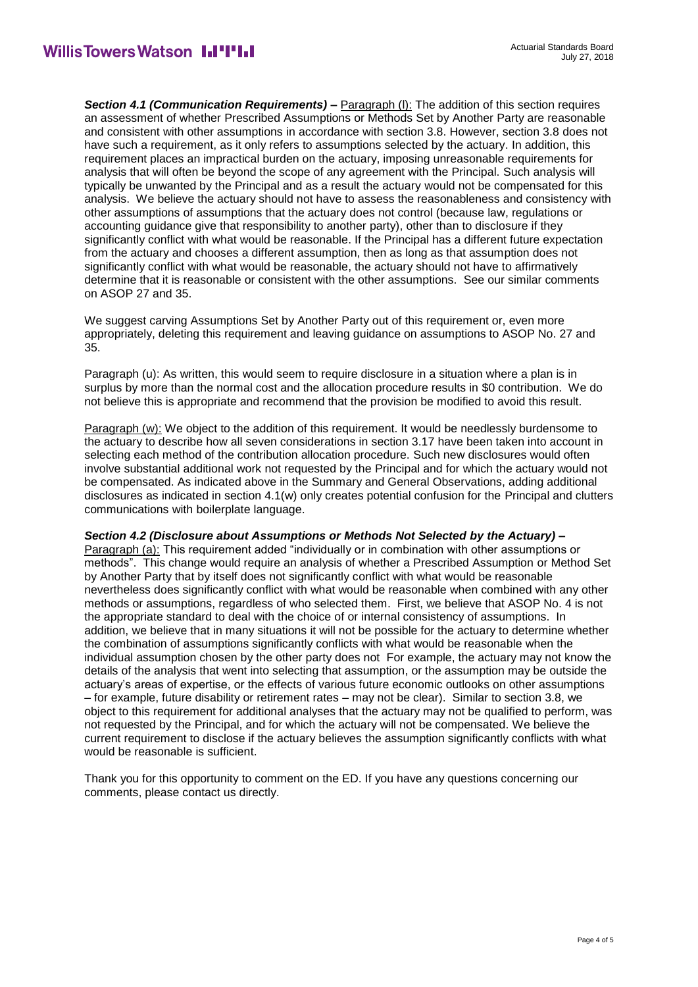*Section 4.1 (Communication Requirements) –* Paragraph (l): The addition of this section requires an assessment of whether Prescribed Assumptions or Methods Set by Another Party are reasonable and consistent with other assumptions in accordance with section 3.8. However, section 3.8 does not have such a requirement, as it only refers to assumptions selected by the actuary. In addition, this requirement places an impractical burden on the actuary, imposing unreasonable requirements for analysis that will often be beyond the scope of any agreement with the Principal. Such analysis will typically be unwanted by the Principal and as a result the actuary would not be compensated for this analysis. We believe the actuary should not have to assess the reasonableness and consistency with other assumptions of assumptions that the actuary does not control (because law, regulations or accounting guidance give that responsibility to another party), other than to disclosure if they significantly conflict with what would be reasonable. If the Principal has a different future expectation from the actuary and chooses a different assumption, then as long as that assumption does not significantly conflict with what would be reasonable, the actuary should not have to affirmatively determine that it is reasonable or consistent with the other assumptions. See our similar comments on ASOP 27 and 35.

We suggest carving Assumptions Set by Another Party out of this requirement or, even more appropriately, deleting this requirement and leaving guidance on assumptions to ASOP No. 27 and 35.

Paragraph (u): As written, this would seem to require disclosure in a situation where a plan is in surplus by more than the normal cost and the allocation procedure results in \$0 contribution. We do not believe this is appropriate and recommend that the provision be modified to avoid this result.

Paragraph (w): We object to the addition of this requirement. It would be needlessly burdensome to the actuary to describe how all seven considerations in section 3.17 have been taken into account in selecting each method of the contribution allocation procedure. Such new disclosures would often involve substantial additional work not requested by the Principal and for which the actuary would not be compensated. As indicated above in the Summary and General Observations, adding additional disclosures as indicated in section 4.1(w) only creates potential confusion for the Principal and clutters communications with boilerplate language.

#### *Section 4.2 (Disclosure about Assumptions or Methods Not Selected by the Actuary) –* Paragraph (a): This requirement added "individually or in combination with other assumptions or methods". This change would require an analysis of whether a Prescribed Assumption or Method Set by Another Party that by itself does not significantly conflict with what would be reasonable nevertheless does significantly conflict with what would be reasonable when combined with any other methods or assumptions, regardless of who selected them. First, we believe that ASOP No. 4 is not the appropriate standard to deal with the choice of or internal consistency of assumptions. In addition, we believe that in many situations it will not be possible for the actuary to determine whether the combination of assumptions significantly conflicts with what would be reasonable when the individual assumption chosen by the other party does not For example, the actuary may not know the details of the analysis that went into selecting that assumption, or the assumption may be outside the actuary's areas of expertise, or the effects of various future economic outlooks on other assumptions – for example, future disability or retirement rates – may not be clear). Similar to section 3.8, we object to this requirement for additional analyses that the actuary may not be qualified to perform, was not requested by the Principal, and for which the actuary will not be compensated. We believe the current requirement to disclose if the actuary believes the assumption significantly conflicts with what

would be reasonable is sufficient.

Thank you for this opportunity to comment on the ED. If you have any questions concerning our comments, please contact us directly.